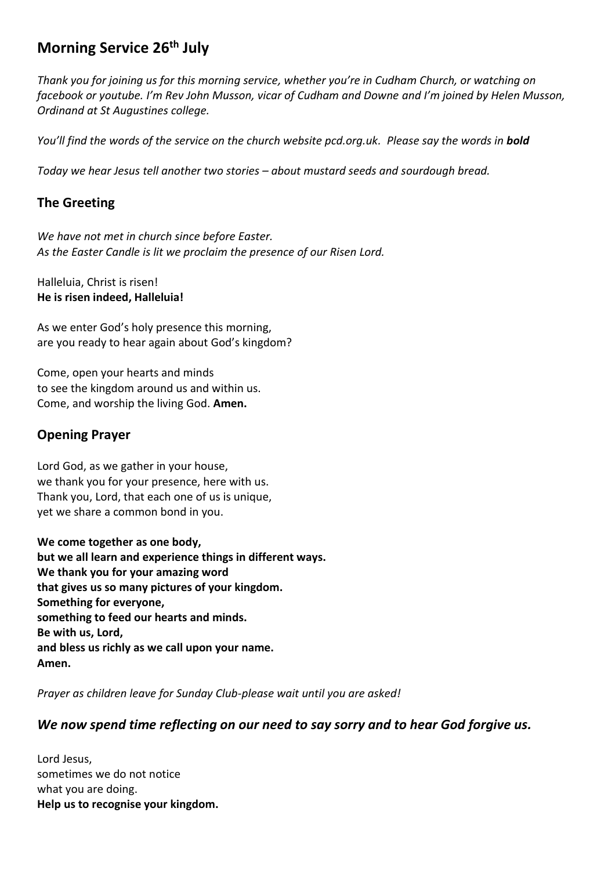# **Morning Service 26th July**

*Thank you for joining us for this morning service, whether you're in Cudham Church, or watching on facebook or youtube. I'm Rev John Musson, vicar of Cudham and Downe and I'm joined by Helen Musson, Ordinand at St Augustines college.* 

*You'll find the words of the service on the church website pcd.org.uk. Please say the words in bold*

*Today we hear Jesus tell another two stories – about mustard seeds and sourdough bread.*

## **The Greeting**

*We have not met in church since before Easter. As the Easter Candle is lit we proclaim the presence of our Risen Lord.*

Halleluia, Christ is risen! **He is risen indeed, Halleluia!**

As we enter God's holy presence this morning, are you ready to hear again about God's kingdom?

Come, open your hearts and minds to see the kingdom around us and within us. Come, and worship the living God. **Amen.**

## **Opening Prayer**

Lord God, as we gather in your house, we thank you for your presence, here with us. Thank you, Lord, that each one of us is unique, yet we share a common bond in you.

**We come together as one body, but we all learn and experience things in different ways. We thank you for your amazing word that gives us so many pictures of your kingdom. Something for everyone, something to feed our hearts and minds. Be with us, Lord, and bless us richly as we call upon your name. Amen.**

*Prayer as children leave for Sunday Club-please wait until you are asked!*

# *We now spend time reflecting on our need to say sorry and to hear God forgive us.*

Lord Jesus, sometimes we do not notice what you are doing. **Help us to recognise your kingdom.**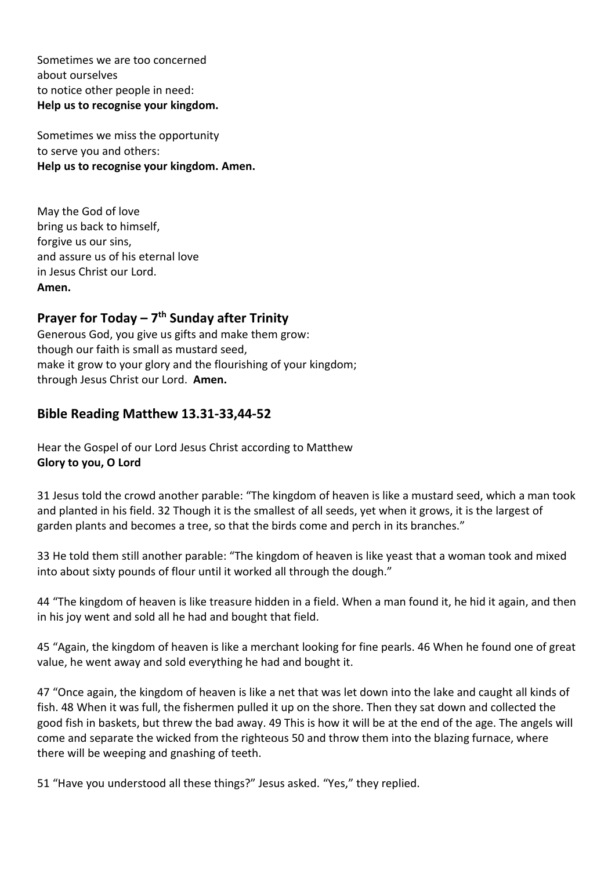Sometimes we are too concerned about ourselves to notice other people in need: **Help us to recognise your kingdom.**

Sometimes we miss the opportunity to serve you and others: **Help us to recognise your kingdom. Amen.**

May the God of love bring us back to himself, forgive us our sins, and assure us of his eternal love in Jesus Christ our Lord. **Amen.**

# **Prayer for Today – 7 th Sunday after Trinity**

Generous God, you give us gifts and make them grow: though our faith is small as mustard seed, make it grow to your glory and the flourishing of your kingdom; through Jesus Christ our Lord. **Amen.**

# **Bible Reading Matthew 13.31-33,44-52**

Hear the Gospel of our Lord Jesus Christ according to Matthew **Glory to you, O Lord**

31 Jesus told the crowd another parable: "The kingdom of heaven is like a mustard seed, which a man took and planted in his field. 32 Though it is the smallest of all seeds, yet when it grows, it is the largest of garden plants and becomes a tree, so that the birds come and perch in its branches."

33 He told them still another parable: "The kingdom of heaven is like yeast that a woman took and mixed into about sixty pounds of flour until it worked all through the dough."

44 "The kingdom of heaven is like treasure hidden in a field. When a man found it, he hid it again, and then in his joy went and sold all he had and bought that field.

45 "Again, the kingdom of heaven is like a merchant looking for fine pearls. 46 When he found one of great value, he went away and sold everything he had and bought it.

47 "Once again, the kingdom of heaven is like a net that was let down into the lake and caught all kinds of fish. 48 When it was full, the fishermen pulled it up on the shore. Then they sat down and collected the good fish in baskets, but threw the bad away. 49 This is how it will be at the end of the age. The angels will come and separate the wicked from the righteous 50 and throw them into the blazing furnace, where there will be weeping and gnashing of teeth.

51 "Have you understood all these things?" Jesus asked. "Yes," they replied.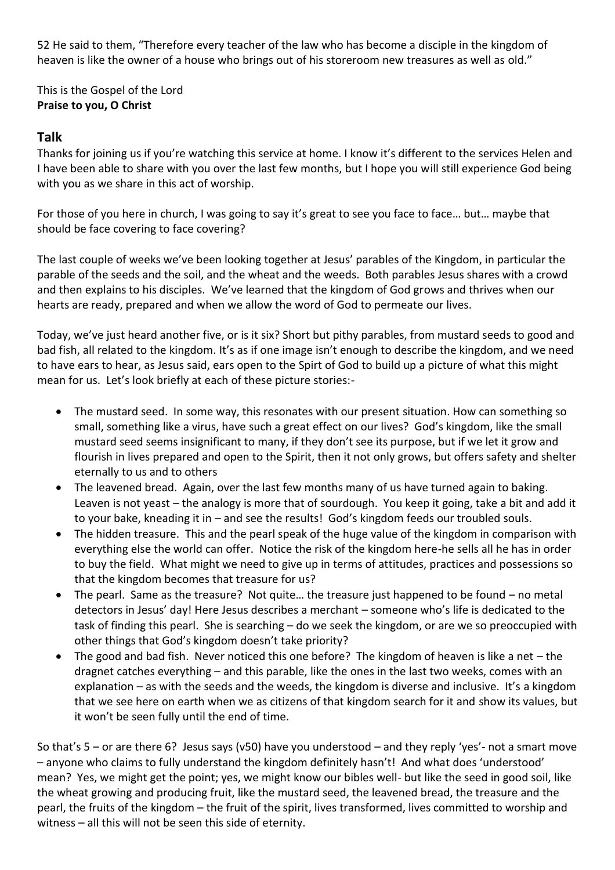52 He said to them, "Therefore every teacher of the law who has become a disciple in the kingdom of heaven is like the owner of a house who brings out of his storeroom new treasures as well as old."

This is the Gospel of the Lord **Praise to you, O Christ**

#### **Talk**

Thanks for joining us if you're watching this service at home. I know it's different to the services Helen and I have been able to share with you over the last few months, but I hope you will still experience God being with you as we share in this act of worship.

For those of you here in church, I was going to say it's great to see you face to face… but… maybe that should be face covering to face covering?

The last couple of weeks we've been looking together at Jesus' parables of the Kingdom, in particular the parable of the seeds and the soil, and the wheat and the weeds. Both parables Jesus shares with a crowd and then explains to his disciples. We've learned that the kingdom of God grows and thrives when our hearts are ready, prepared and when we allow the word of God to permeate our lives.

Today, we've just heard another five, or is it six? Short but pithy parables, from mustard seeds to good and bad fish, all related to the kingdom. It's as if one image isn't enough to describe the kingdom, and we need to have ears to hear, as Jesus said, ears open to the Spirt of God to build up a picture of what this might mean for us. Let's look briefly at each of these picture stories:-

- The mustard seed. In some way, this resonates with our present situation. How can something so small, something like a virus, have such a great effect on our lives? God's kingdom, like the small mustard seed seems insignificant to many, if they don't see its purpose, but if we let it grow and flourish in lives prepared and open to the Spirit, then it not only grows, but offers safety and shelter eternally to us and to others
- The leavened bread. Again, over the last few months many of us have turned again to baking. Leaven is not yeast – the analogy is more that of sourdough. You keep it going, take a bit and add it to your bake, kneading it in – and see the results! God's kingdom feeds our troubled souls.
- The hidden treasure. This and the pearl speak of the huge value of the kingdom in comparison with everything else the world can offer. Notice the risk of the kingdom here-he sells all he has in order to buy the field. What might we need to give up in terms of attitudes, practices and possessions so that the kingdom becomes that treasure for us?
- The pearl. Same as the treasure? Not quite… the treasure just happened to be found no metal detectors in Jesus' day! Here Jesus describes a merchant – someone who's life is dedicated to the task of finding this pearl. She is searching – do we seek the kingdom, or are we so preoccupied with other things that God's kingdom doesn't take priority?
- The good and bad fish. Never noticed this one before? The kingdom of heaven is like a net the dragnet catches everything – and this parable, like the ones in the last two weeks, comes with an explanation – as with the seeds and the weeds, the kingdom is diverse and inclusive. It's a kingdom that we see here on earth when we as citizens of that kingdom search for it and show its values, but it won't be seen fully until the end of time.

So that's 5 – or are there 6? Jesus says (v50) have you understood – and they reply 'yes'- not a smart move – anyone who claims to fully understand the kingdom definitely hasn't! And what does 'understood' mean? Yes, we might get the point; yes, we might know our bibles well- but like the seed in good soil, like the wheat growing and producing fruit, like the mustard seed, the leavened bread, the treasure and the pearl, the fruits of the kingdom – the fruit of the spirit, lives transformed, lives committed to worship and witness – all this will not be seen this side of eternity.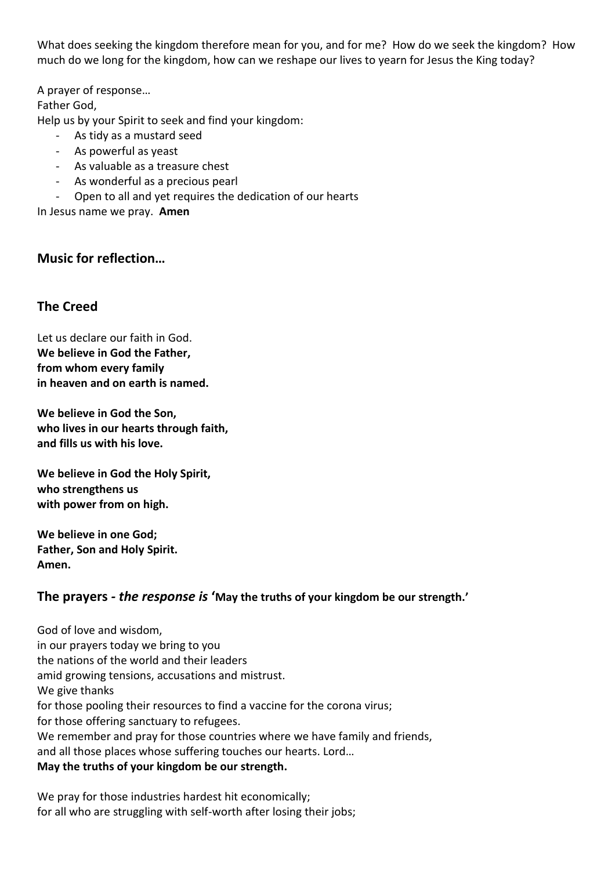What does seeking the kingdom therefore mean for you, and for me? How do we seek the kingdom? How much do we long for the kingdom, how can we reshape our lives to yearn for Jesus the King today?

A prayer of response… Father God, Help us by your Spirit to seek and find your kingdom:

- As tidy as a mustard seed
- As powerful as yeast
- As valuable as a treasure chest
- As wonderful as a precious pearl
- Open to all and yet requires the dedication of our hearts

In Jesus name we pray. **Amen**

## **Music for reflection…**

## **The Creed**

Let us declare our faith in God. **We believe in God the Father, from whom every family in heaven and on earth is named.**

**We believe in God the Son, who lives in our hearts through faith, and fills us with his love.**

**We believe in God the Holy Spirit, who strengthens us with power from on high.**

**We believe in one God; Father, Son and Holy Spirit. Amen.**

### **The prayers** *- the response is* **'May the truths of your kingdom be our strength.'**

God of love and wisdom, in our prayers today we bring to you the nations of the world and their leaders amid growing tensions, accusations and mistrust. We give thanks for those pooling their resources to find a vaccine for the corona virus; for those offering sanctuary to refugees. We remember and pray for those countries where we have family and friends, and all those places whose suffering touches our hearts. Lord… **May the truths of your kingdom be our strength.**

We pray for those industries hardest hit economically; for all who are struggling with self-worth after losing their jobs;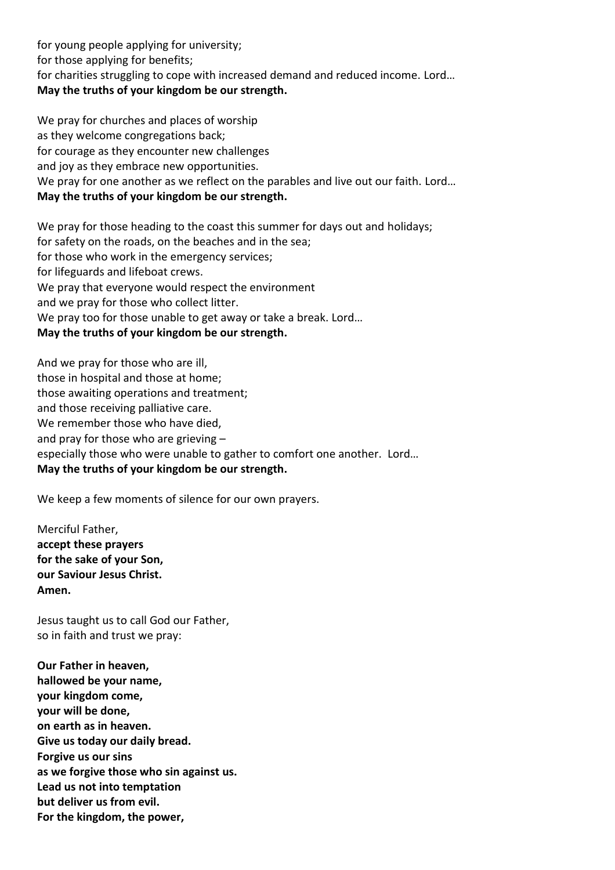for young people applying for university; for those applying for benefits; for charities struggling to cope with increased demand and reduced income. Lord… **May the truths of your kingdom be our strength.**

We pray for churches and places of worship as they welcome congregations back; for courage as they encounter new challenges and joy as they embrace new opportunities. We pray for one another as we reflect on the parables and live out our faith. Lord… **May the truths of your kingdom be our strength.**

We pray for those heading to the coast this summer for days out and holidays; for safety on the roads, on the beaches and in the sea; for those who work in the emergency services; for lifeguards and lifeboat crews. We pray that everyone would respect the environment and we pray for those who collect litter. We pray too for those unable to get away or take a break. Lord… **May the truths of your kingdom be our strength.**

And we pray for those who are ill, those in hospital and those at home; those awaiting operations and treatment; and those receiving palliative care. We remember those who have died, and pray for those who are grieving – especially those who were unable to gather to comfort one another. Lord… **May the truths of your kingdom be our strength.**

We keep a few moments of silence for our own prayers.

Merciful Father, **accept these prayers for the sake of your Son, our Saviour Jesus Christ. Amen.**

Jesus taught us to call God our Father, so in faith and trust we pray:

**Our Father in heaven, hallowed be your name, your kingdom come, your will be done, on earth as in heaven. Give us today our daily bread. Forgive us our sins as we forgive those who sin against us. Lead us not into temptation but deliver us from evil. For the kingdom, the power,**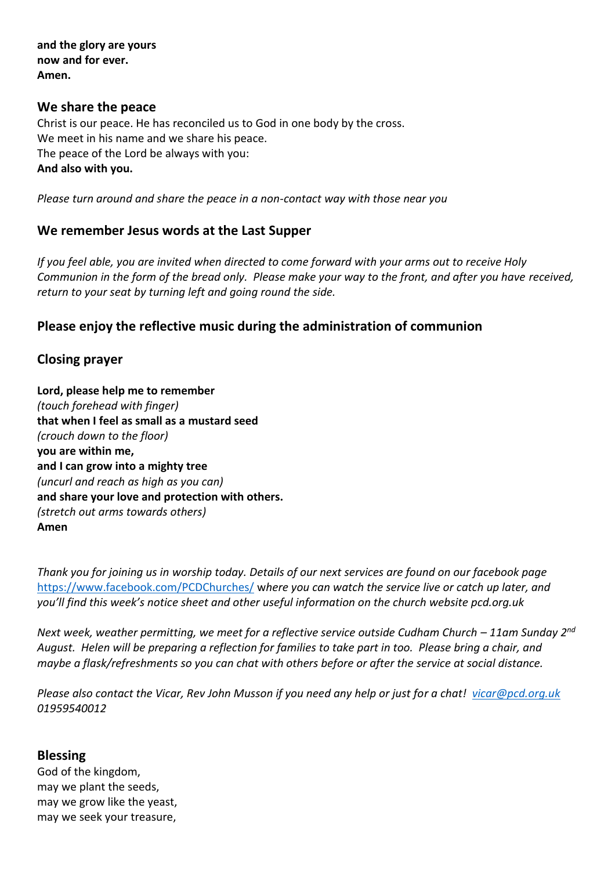**and the glory are yours now and for ever. Amen.**

#### **We share the peace**

Christ is our peace. He has reconciled us to God in one body by the cross. We meet in his name and we share his peace. The peace of the Lord be always with you: **And also with you.**

*Please turn around and share the peace in a non-contact way with those near you*

#### **We remember Jesus words at the Last Supper**

*If you feel able, you are invited when directed to come forward with your arms out to receive Holy Communion in the form of the bread only. Please make your way to the front, and after you have received, return to your seat by turning left and going round the side.*

### **Please enjoy the reflective music during the administration of communion**

### **Closing prayer**

**Lord, please help me to remember** *(touch forehead with finger)* **that when I feel as small as a mustard seed** *(crouch down to the floor)* **you are within me, and I can grow into a mighty tree** *(uncurl and reach as high as you can)* **and share your love and protection with others.** *(stretch out arms towards others)* **Amen**

*Thank you for joining us in worship today. Details of our next services are found on our facebook page*  <https://www.facebook.com/PCDChurches/> w*here you can watch the service live or catch up later, and you'll find this week's notice sheet and other useful information on the church website pcd.org.uk*

*Next week, weather permitting, we meet for a reflective service outside Cudham Church – 11am Sunday 2<sup>nd</sup> August. Helen will be preparing a reflection for families to take part in too. Please bring a chair, and maybe a flask/refreshments so you can chat with others before or after the service at social distance.*

*Please also contact the Vicar, Rev John Musson if you need any help or just for a chat! [vicar@pcd.org.uk](mailto:vicar@pcd.org.uk) 01959540012*

#### **Blessing**

God of the kingdom, may we plant the seeds, may we grow like the yeast, may we seek your treasure,